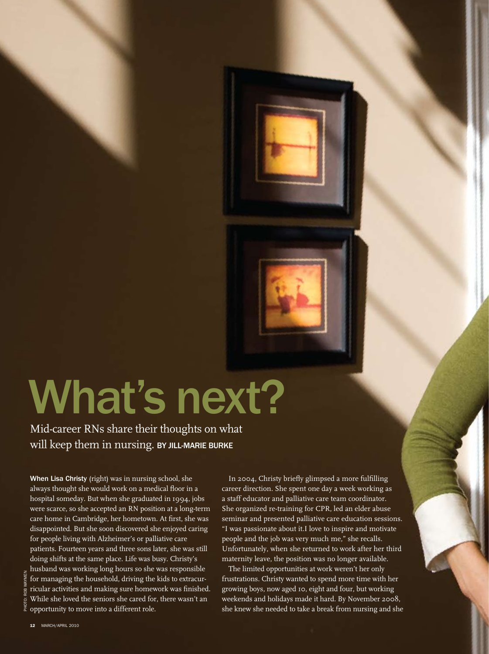## What's next?

Mid-career RNs share their thoughts on what will keep them in nursing. BY JILL-MARIE BURKE

When Lisa Christy (right) was in nursing school, she always thought she would work on a medical floor in a hospital someday. But when she graduated in 1994, jobs were scarce, so she accepted an RN position at a long-term care home in Cambridge, her hometown. At first, she was disappointed. But she soon discovered she enjoyed caring for people living with Alzheimer's or palliative care patients. Fourteen years and three sons later, she was still doing shifts at the same place. Life was busy. Christy's husband was working long hours so she was responsible for managing the household, driving the kids to extracurricular activities and making sure homework was finished. While she loved the seniors she cared for, there wasn't an opportunity to move into a different role.

In 2004, Christy briefly glimpsed a more fulfilling career direction. She spent one day a week working as a staff educator and palliative care team coordinator. She organized re-training for CPR, led an elder abuse seminar and presented palliative care education sessions. "I was passionate about it.I love to inspire and motivate people and the job was very much me," she recalls. Unfortunately, when she returned to work after her third maternity leave, the position was no longer available.

The limited opportunities at work weren't her only frustrations. Christy wanted to spend more time with her growing boys, now aged 10, eight and four, but working weekends and holidays made it hard. By November 2008, she knew she needed to take a break from nursing and she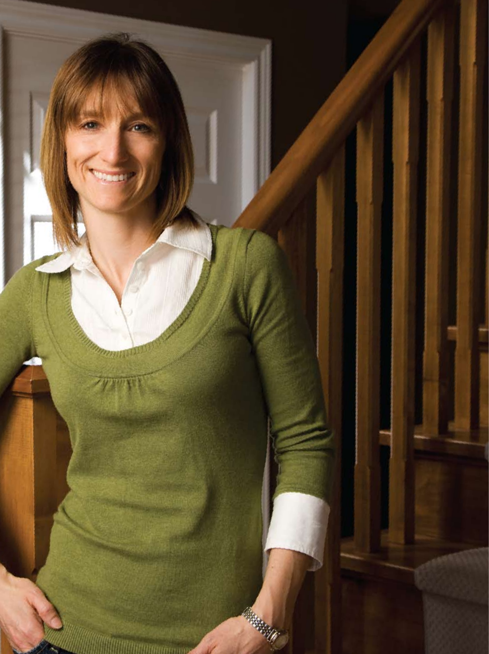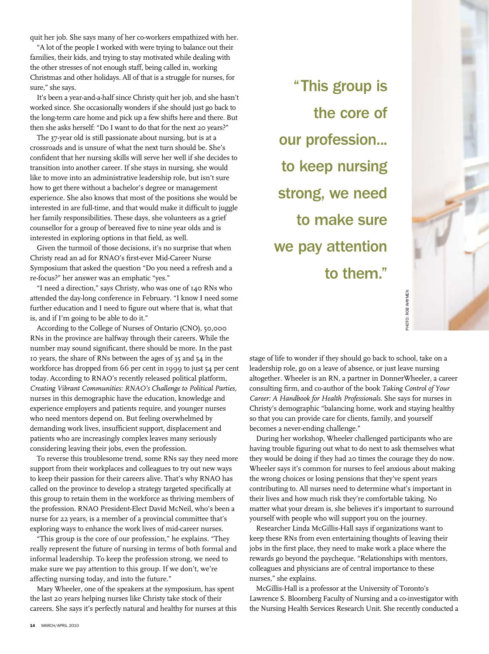quit her job. She says many of her co-workers empathized with her.

"A lot of the people I worked with were trying to balance out their families, their kids, and trying to stay motivated while dealing with the other stresses of not enough staff, being called in, working Christmas and other holidays. All of that is a struggle for nurses, for sure," she says.

It's been a year-and-a-half since Christy quit her job, and she hasn't worked since. She occasionally wonders if she should just go back to the long-term care home and pick up a few shifts here and there. But then she asks herself: "Do I want to do that for the next 20 years?"

The 37-year old is still passionate about nursing, but is at a crossroads and is unsure of what the next turn should be. She's confident that her nursing skills will serve her well if she decides to transition into another career. If she stays in nursing, she would like to move into an administrative leadership role, but isn't sure how to get there without a bachelor's degree or management experience. She also knows that most of the positions she would be interested in are full-time, and that would make it difficult to juggle her family responsibilities. These days, she volunteers as a grief counsellor for a group of bereaved five to nine year olds and is interested in exploring options in that field, as well.

Given the turmoil of those decisions, it's no surprise that when Christy read an ad for RNAO's first-ever Mid-Career Nurse Symposium that asked the question "Do you need a refresh and a re-focus?" her answer was an emphatic "yes."

"I need a direction," says Christy, who was one of 140 RNs who attended the day-long conference in February. "I know I need some further education and I need to figure out where that is, what that is, and if I'm going to be able to do it."

According to the College of Nurses of Ontario (CNO), 50,000 RNs in the province are halfway through their careers. While the number may sound significant, there should be more. In the past 10 years, the share of RNs between the ages of 35 and 54 in the workforce has dropped from 66 per cent in 1999 to just 54 per cent today. According to RNAO's recently released political platform, *Creating Vibrant Communities: RNAO's Challenge to Political Parties,*  nurses in this demographic have the education, knowledge and experience employers and patients require, and younger nurses who need mentors depend on. But feeling overwhelmed by demanding work lives, insufficient support, displacement and patients who are increasingly complex leaves many seriously considering leaving their jobs, even the profession.

To reverse this troublesome trend, some RNs say they need more support from their workplaces and colleagues to try out new ways to keep their passion for their careers alive. That's why RNAO has called on the province to develop a strategy targeted specifically at this group to retain them in the workforce as thriving members of the profession. RNAO President-Elect David McNeil, who's been a nurse for 22 years, is a member of a provincial committee that's exploring ways to enhance the work lives of mid-career nurses.

"This group is the core of our profession," he explains. "They really represent the future of nursing in terms of both formal and informal leadership. To keep the profession strong, we need to make sure we pay attention to this group. If we don't, we're affecting nursing today, and into the future."

Mary Wheeler, one of the speakers at the symposium, has spent the last 20 years helping nurses like Christy take stock of their careers. She says it's perfectly natural and healthy for nurses at this

"This group is the core of our profession... to keep nursing strong, we need to make sure we pay attention to them."



stage of life to wonder if they should go back to school, take on a leadership role, go on a leave of absence, or just leave nursing altogether. Wheeler is an RN, a partner in DonnerWheeler, a career consulting firm, and co-author of the book *Taking Control of Your Career: A Handbook for Health Professionals.* She says for nurses in Christy's demographic "balancing home, work and staying healthy so that you can provide care for clients, family, and yourself becomes a never-ending challenge."

During her workshop, Wheeler challenged participants who are having trouble figuring out what to do next to ask themselves what they would be doing if they had 20 times the courage they do now. Wheeler says it's common for nurses to feel anxious about making the wrong choices or losing pensions that they've spent years contributing to. All nurses need to determine what's important in their lives and how much risk they're comfortable taking. No matter what your dream is, she believes it's important to surround yourself with people who will support you on the journey.

Researcher Linda McGillis-Hall says if organizations want to keep these RNs from even entertaining thoughts of leaving their jobs in the first place, they need to make work a place where the rewards go beyond the paycheque. "Relationships with mentors, colleagues and physicians are of central importance to these nurses," she explains.

McGillis-Hall is a professor at the University of Toronto's Lawrence S. Bloomberg Faculty of Nursing and a co-investigator with the Nursing Health Services Research Unit. She recently conducted a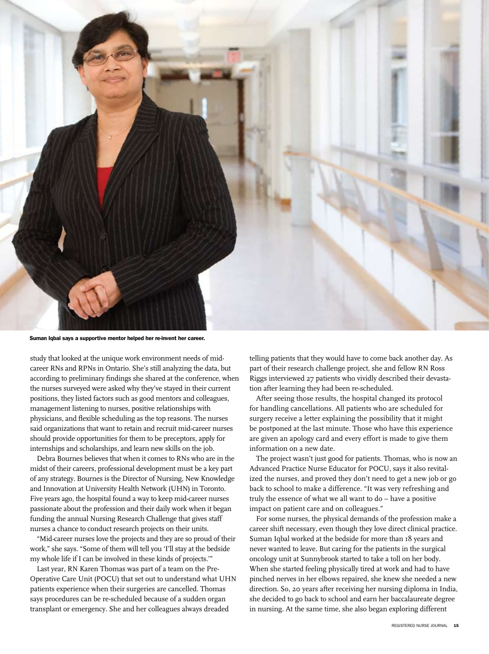

Suman Iqbal says a supportive mentor helped her re-invent her career.

study that looked at the unique work environment needs of midcareer RNs and RPNs in Ontario. She's still analyzing the data, but according to preliminary findings she shared at the conference, when the nurses surveyed were asked why they've stayed in their current positions, they listed factors such as good mentors and colleagues, management listening to nurses, positive relationships with physicians, and flexible scheduling as the top reasons. The nurses said organizations that want to retain and recruit mid-career nurses should provide opportunities for them to be preceptors, apply for internships and scholarships, and learn new skills on the job.

Debra Bournes believes that when it comes to RNs who are in the midst of their careers, professional development must be a key part of any strategy. Bournes is the Director of Nursing, New Knowledge and Innovation at University Health Network (UHN) in Toronto. Five years ago, the hospital found a way to keep mid-career nurses passionate about the profession and their daily work when it began funding the annual Nursing Research Challenge that gives staff nurses a chance to conduct research projects on their units.

"Mid-career nurses love the projects and they are so proud of their work," she says. "Some of them will tell you 'I'll stay at the bedside my whole life if I can be involved in these kinds of projects.'"

Last year, RN Karen Thomas was part of a team on the Pre-Operative Care Unit (POCU) that set out to understand what UHN patients experience when their surgeries are cancelled. Thomas says procedures can be re-scheduled because of a sudden organ transplant or emergency. She and her colleagues always dreaded

telling patients that they would have to come back another day. As part of their research challenge project, she and fellow RN Ross Riggs interviewed 27 patients who vividly described their devastation after learning they had been re-scheduled.

After seeing those results, the hospital changed its protocol for handling cancellations. All patients who are scheduled for surgery receive a letter explaining the possibility that it might be postponed at the last minute. Those who have this experience are given an apology card and every effort is made to give them information on a new date.

The project wasn't just good for patients. Thomas, who is now an Advanced Practice Nurse Educator for POCU, says it also revitalized the nurses, and proved they don't need to get a new job or go back to school to make a difference. "It was very refreshing and truly the essence of what we all want to do – have a positive impact on patient care and on colleagues."

For some nurses, the physical demands of the profession make a career shift necessary, even though they love direct clinical practice. Suman Iqbal worked at the bedside for more than 18 years and never wanted to leave. But caring for the patients in the surgical oncology unit at Sunnybrook started to take a toll on her body. When she started feeling physically tired at work and had to have pinched nerves in her elbows repaired, she knew she needed a new direction. So, 20 years after receiving her nursing diploma in India, she decided to go back to school and earn her baccalaureate degree in nursing. At the same time, she also began exploring different